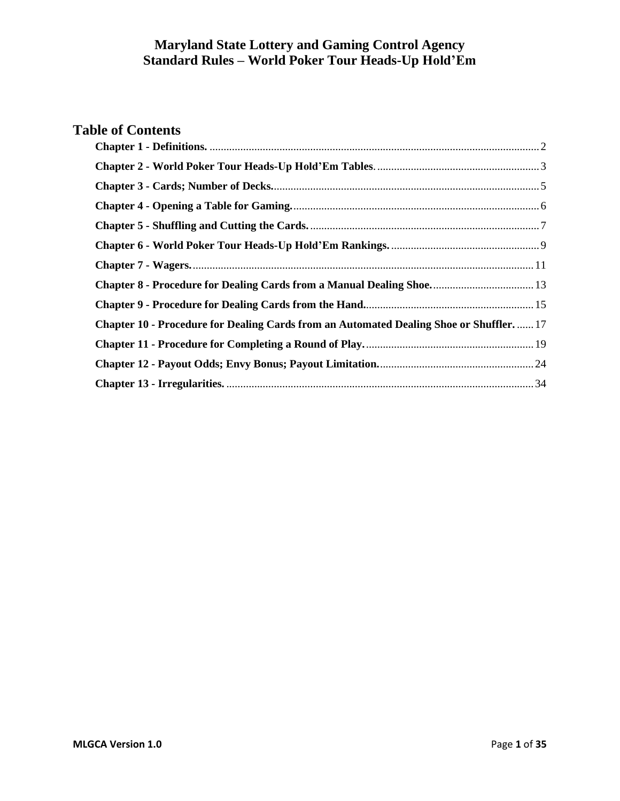# **Table of Contents**

<span id="page-0-0"></span>

| Chapter 8 - Procedure for Dealing Cards from a Manual Dealing Shoe 13                         |  |
|-----------------------------------------------------------------------------------------------|--|
|                                                                                               |  |
| <b>Chapter 10 - Procedure for Dealing Cards from an Automated Dealing Shoe or Shuffler 17</b> |  |
|                                                                                               |  |
|                                                                                               |  |
|                                                                                               |  |
|                                                                                               |  |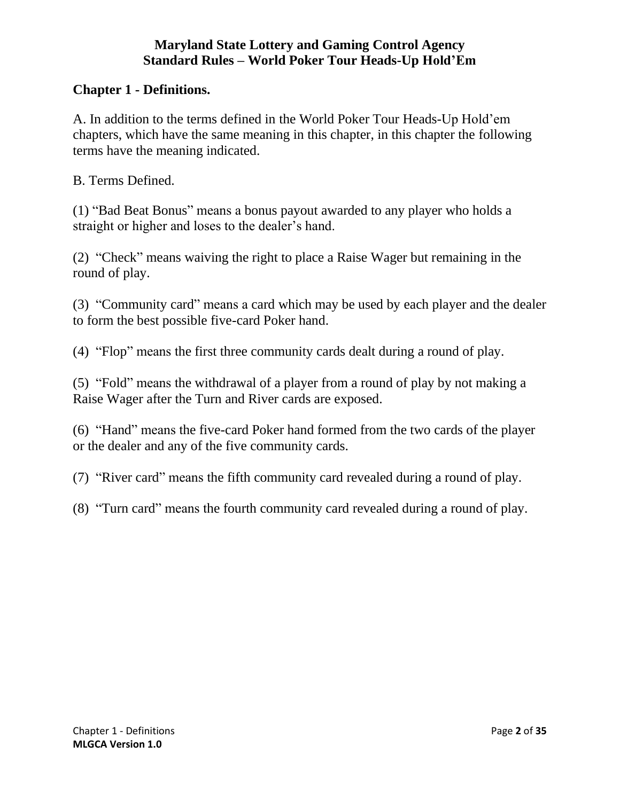#### **Chapter 1 - Definitions.**

A. In addition to the terms defined in the World Poker Tour Heads-Up Hold'em chapters, which have the same meaning in this chapter, in this chapter the following terms have the meaning indicated.

B. Terms Defined.

(1) "Bad Beat Bonus" means a bonus payout awarded to any player who holds a straight or higher and loses to the dealer's hand.

(2) "Check" means waiving the right to place a Raise Wager but remaining in the round of play.

(3) "Community card" means a card which may be used by each player and the dealer to form the best possible five-card Poker hand.

(4) "Flop" means the first three community cards dealt during a round of play.

(5) "Fold" means the withdrawal of a player from a round of play by not making a Raise Wager after the Turn and River cards are exposed.

(6) "Hand" means the five-card Poker hand formed from the two cards of the player or the dealer and any of the five community cards.

(7) "River card" means the fifth community card revealed during a round of play.

<span id="page-1-0"></span>(8) "Turn card" means the fourth community card revealed during a round of play.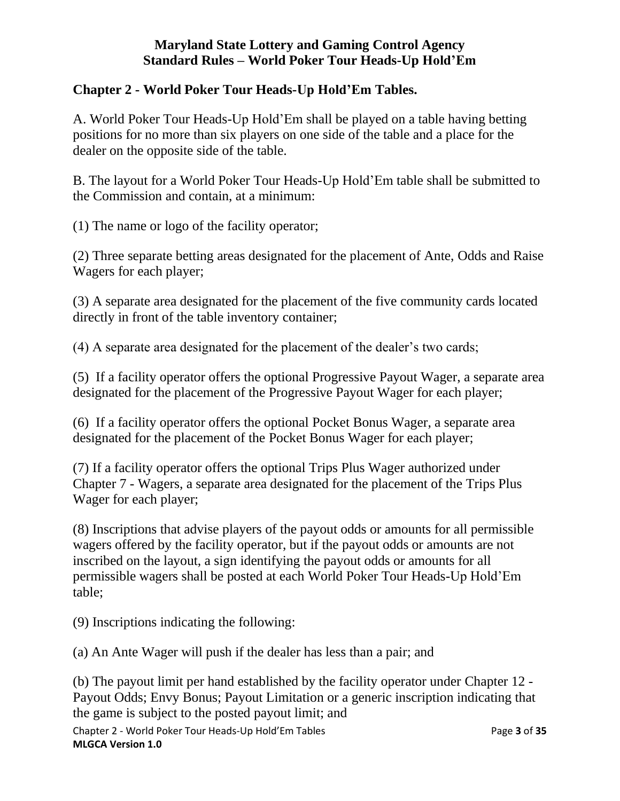### **Chapter 2 - World Poker Tour Heads-Up Hold'Em Tables.**

A. World Poker Tour Heads-Up Hold'Em shall be played on a table having betting positions for no more than six players on one side of the table and a place for the dealer on the opposite side of the table.

B. The layout for a World Poker Tour Heads-Up Hold'Em table shall be submitted to the Commission and contain, at a minimum:

(1) The name or logo of the facility operator;

(2) Three separate betting areas designated for the placement of Ante, Odds and Raise Wagers for each player;

(3) A separate area designated for the placement of the five community cards located directly in front of the table inventory container;

(4) A separate area designated for the placement of the dealer's two cards;

(5) If a facility operator offers the optional Progressive Payout Wager, a separate area designated for the placement of the Progressive Payout Wager for each player;

(6) If a facility operator offers the optional Pocket Bonus Wager, a separate area designated for the placement of the Pocket Bonus Wager for each player;

(7) If a facility operator offers the optional Trips Plus Wager authorized under Chapter 7 - Wagers, a separate area designated for the placement of the Trips Plus Wager for each player;

(8) Inscriptions that advise players of the payout odds or amounts for all permissible wagers offered by the facility operator, but if the payout odds or amounts are not inscribed on the layout, a sign identifying the payout odds or amounts for all permissible wagers shall be posted at each World Poker Tour Heads-Up Hold'Em table;

(9) Inscriptions indicating the following:

(a) An Ante Wager will push if the dealer has less than a pair; and

(b) The payout limit per hand established by the facility operator under Chapter 12 - Payout Odds; Envy Bonus; Payout Limitation or a generic inscription indicating that the game is subject to the posted payout limit; and

Chapter 2 - World Poker Tour Heads-Up Hold'Em Tables Page **3** of **35 MLGCA Version 1.0**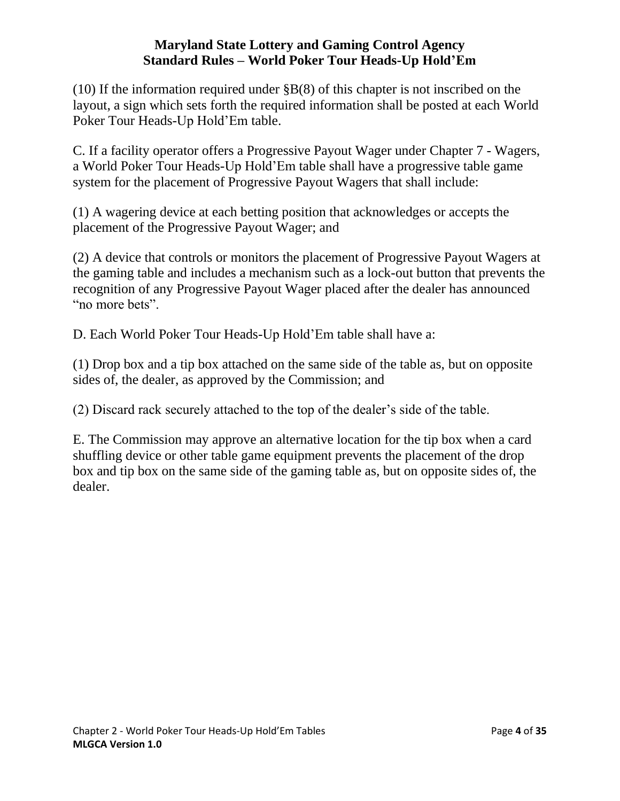(10) If the information required under §B(8) of this chapter is not inscribed on the layout, a sign which sets forth the required information shall be posted at each World Poker Tour Heads-Up Hold'Em table.

C. If a facility operator offers a Progressive Payout Wager under Chapter 7 - Wagers, a World Poker Tour Heads-Up Hold'Em table shall have a progressive table game system for the placement of Progressive Payout Wagers that shall include:

(1) A wagering device at each betting position that acknowledges or accepts the placement of the Progressive Payout Wager; and

(2) A device that controls or monitors the placement of Progressive Payout Wagers at the gaming table and includes a mechanism such as a lock-out button that prevents the recognition of any Progressive Payout Wager placed after the dealer has announced "no more bets".

D. Each World Poker Tour Heads-Up Hold'Em table shall have a:

(1) Drop box and a tip box attached on the same side of the table as, but on opposite sides of, the dealer, as approved by the Commission; and

(2) Discard rack securely attached to the top of the dealer's side of the table.

<span id="page-3-0"></span>E. The Commission may approve an alternative location for the tip box when a card shuffling device or other table game equipment prevents the placement of the drop box and tip box on the same side of the gaming table as, but on opposite sides of, the dealer.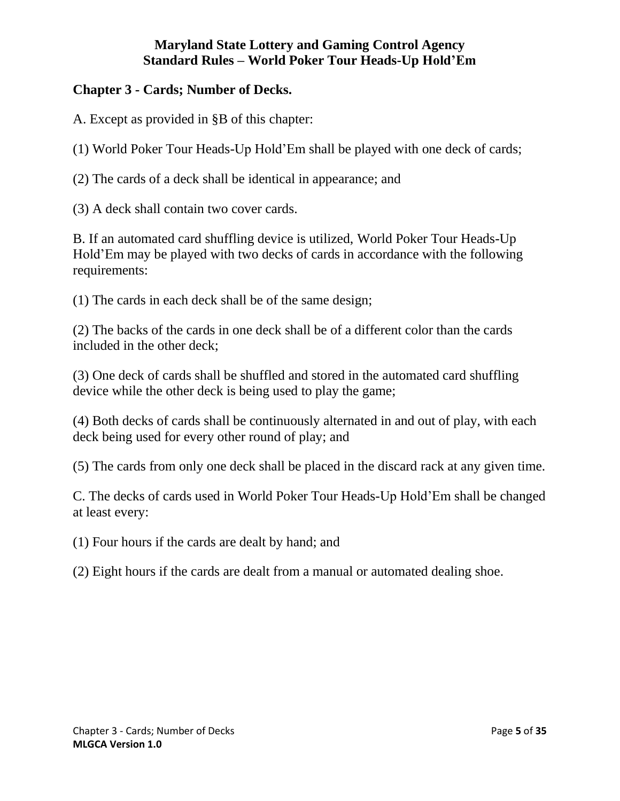## **Chapter 3 - Cards; Number of Decks.**

A. Except as provided in §B of this chapter:

(1) World Poker Tour Heads-Up Hold'Em shall be played with one deck of cards;

(2) The cards of a deck shall be identical in appearance; and

(3) A deck shall contain two cover cards.

B. If an automated card shuffling device is utilized, World Poker Tour Heads-Up Hold'Em may be played with two decks of cards in accordance with the following requirements:

(1) The cards in each deck shall be of the same design;

(2) The backs of the cards in one deck shall be of a different color than the cards included in the other deck;

(3) One deck of cards shall be shuffled and stored in the automated card shuffling device while the other deck is being used to play the game;

(4) Both decks of cards shall be continuously alternated in and out of play, with each deck being used for every other round of play; and

(5) The cards from only one deck shall be placed in the discard rack at any given time.

C. The decks of cards used in World Poker Tour Heads-Up Hold'Em shall be changed at least every:

(1) Four hours if the cards are dealt by hand; and

<span id="page-4-0"></span>(2) Eight hours if the cards are dealt from a manual or automated dealing shoe.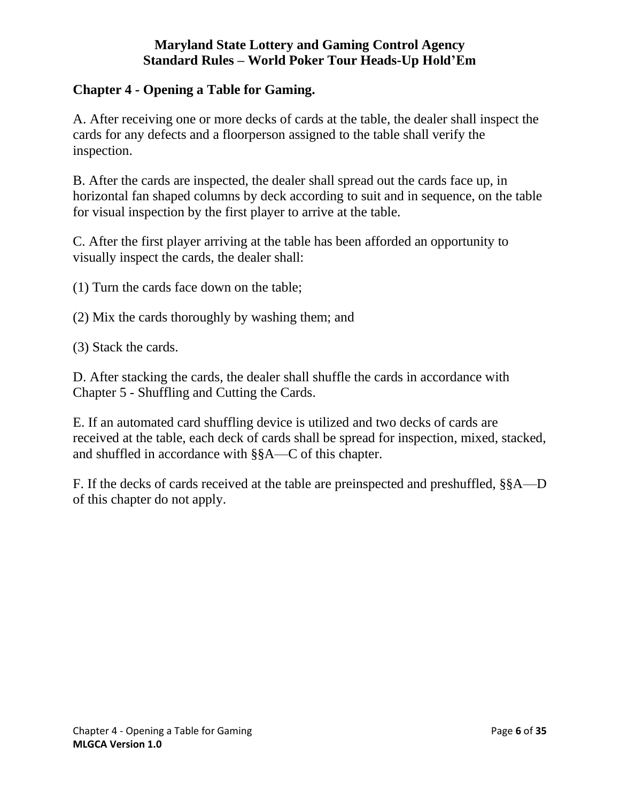#### **Chapter 4 - Opening a Table for Gaming.**

A. After receiving one or more decks of cards at the table, the dealer shall inspect the cards for any defects and a floorperson assigned to the table shall verify the inspection.

B. After the cards are inspected, the dealer shall spread out the cards face up, in horizontal fan shaped columns by deck according to suit and in sequence, on the table for visual inspection by the first player to arrive at the table.

C. After the first player arriving at the table has been afforded an opportunity to visually inspect the cards, the dealer shall:

(1) Turn the cards face down on the table;

- (2) Mix the cards thoroughly by washing them; and
- (3) Stack the cards.

D. After stacking the cards, the dealer shall shuffle the cards in accordance with Chapter 5 - Shuffling and Cutting the Cards.

E. If an automated card shuffling device is utilized and two decks of cards are received at the table, each deck of cards shall be spread for inspection, mixed, stacked, and shuffled in accordance with §§A—C of this chapter.

<span id="page-5-0"></span>F. If the decks of cards received at the table are preinspected and preshuffled, §§A—D of this chapter do not apply.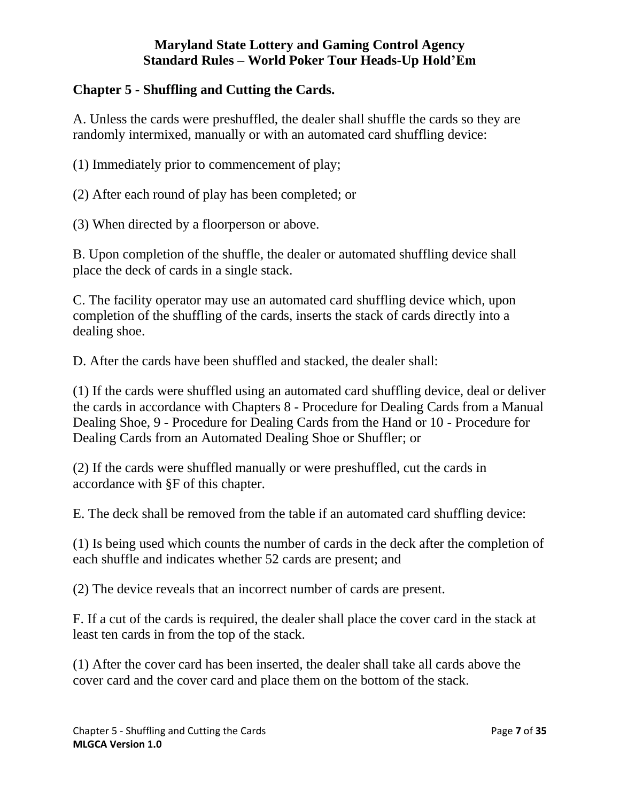# **Chapter 5 - Shuffling and Cutting the Cards.**

A. Unless the cards were preshuffled, the dealer shall shuffle the cards so they are randomly intermixed, manually or with an automated card shuffling device:

(1) Immediately prior to commencement of play;

(2) After each round of play has been completed; or

(3) When directed by a floorperson or above.

B. Upon completion of the shuffle, the dealer or automated shuffling device shall place the deck of cards in a single stack.

C. The facility operator may use an automated card shuffling device which, upon completion of the shuffling of the cards, inserts the stack of cards directly into a dealing shoe.

D. After the cards have been shuffled and stacked, the dealer shall:

(1) If the cards were shuffled using an automated card shuffling device, deal or deliver the cards in accordance with Chapters 8 - Procedure for Dealing Cards from a Manual Dealing Shoe, 9 - Procedure for Dealing Cards from the Hand or 10 - Procedure for Dealing Cards from an Automated Dealing Shoe or Shuffler; or

(2) If the cards were shuffled manually or were preshuffled, cut the cards in accordance with §F of this chapter.

E. The deck shall be removed from the table if an automated card shuffling device:

(1) Is being used which counts the number of cards in the deck after the completion of each shuffle and indicates whether 52 cards are present; and

(2) The device reveals that an incorrect number of cards are present.

F. If a cut of the cards is required, the dealer shall place the cover card in the stack at least ten cards in from the top of the stack.

(1) After the cover card has been inserted, the dealer shall take all cards above the cover card and the cover card and place them on the bottom of the stack.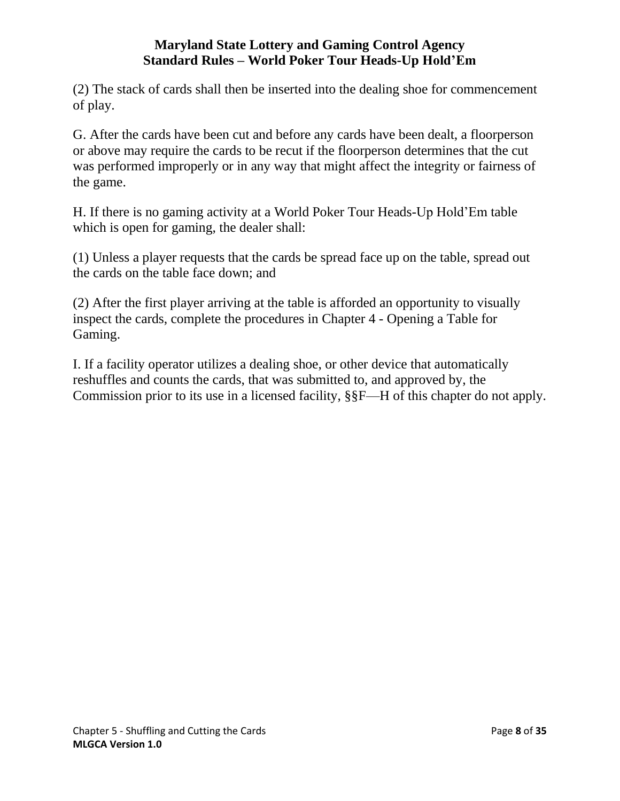(2) The stack of cards shall then be inserted into the dealing shoe for commencement of play.

G. After the cards have been cut and before any cards have been dealt, a floorperson or above may require the cards to be recut if the floorperson determines that the cut was performed improperly or in any way that might affect the integrity or fairness of the game.

H. If there is no gaming activity at a World Poker Tour Heads-Up Hold'Em table which is open for gaming, the dealer shall:

(1) Unless a player requests that the cards be spread face up on the table, spread out the cards on the table face down; and

(2) After the first player arriving at the table is afforded an opportunity to visually inspect the cards, complete the procedures in Chapter 4 - Opening a Table for Gaming.

<span id="page-7-0"></span>I. If a facility operator utilizes a dealing shoe, or other device that automatically reshuffles and counts the cards, that was submitted to, and approved by, the Commission prior to its use in a licensed facility, §§F—H of this chapter do not apply.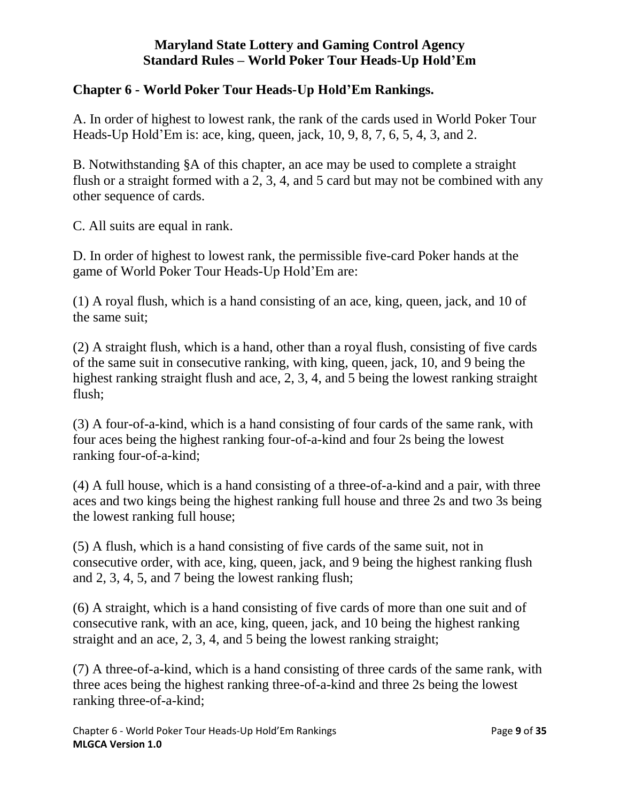### **Chapter 6 - World Poker Tour Heads-Up Hold'Em Rankings.**

A. In order of highest to lowest rank, the rank of the cards used in World Poker Tour Heads-Up Hold'Em is: ace, king, queen, jack, 10, 9, 8, 7, 6, 5, 4, 3, and 2.

B. Notwithstanding §A of this chapter, an ace may be used to complete a straight flush or a straight formed with a 2, 3, 4, and 5 card but may not be combined with any other sequence of cards.

C. All suits are equal in rank.

D. In order of highest to lowest rank, the permissible five-card Poker hands at the game of World Poker Tour Heads-Up Hold'Em are:

(1) A royal flush, which is a hand consisting of an ace, king, queen, jack, and 10 of the same suit;

(2) A straight flush, which is a hand, other than a royal flush, consisting of five cards of the same suit in consecutive ranking, with king, queen, jack, 10, and 9 being the highest ranking straight flush and ace, 2, 3, 4, and 5 being the lowest ranking straight flush;

(3) A four-of-a-kind, which is a hand consisting of four cards of the same rank, with four aces being the highest ranking four-of-a-kind and four 2s being the lowest ranking four-of-a-kind;

(4) A full house, which is a hand consisting of a three-of-a-kind and a pair, with three aces and two kings being the highest ranking full house and three 2s and two 3s being the lowest ranking full house;

(5) A flush, which is a hand consisting of five cards of the same suit, not in consecutive order, with ace, king, queen, jack, and 9 being the highest ranking flush and 2, 3, 4, 5, and 7 being the lowest ranking flush;

(6) A straight, which is a hand consisting of five cards of more than one suit and of consecutive rank, with an ace, king, queen, jack, and 10 being the highest ranking straight and an ace, 2, 3, 4, and 5 being the lowest ranking straight;

(7) A three-of-a-kind, which is a hand consisting of three cards of the same rank, with three aces being the highest ranking three-of-a-kind and three 2s being the lowest ranking three-of-a-kind;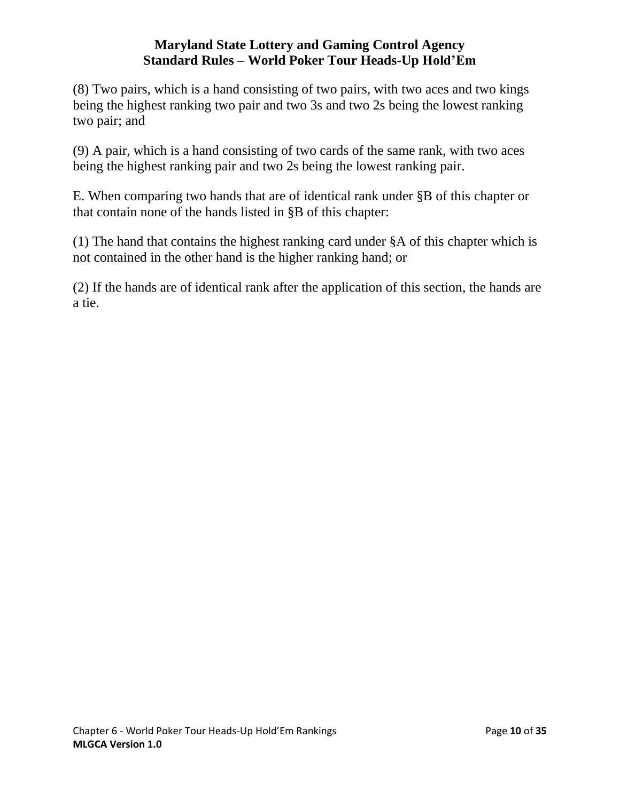(8) Two pairs, which is a hand consisting of two pairs, with two aces and two kings being the highest ranking two pair and two 3s and two 2s being the lowest ranking two pair; and

(9) A pair, which is a hand consisting of two cards of the same rank, with two aces being the highest ranking pair and two 2s being the lowest ranking pair.

E. When comparing two hands that are of identical rank under §B of this chapter or that contain none of the hands listed in §B of this chapter:

(1) The hand that contains the highest ranking card under §A of this chapter which is not contained in the other hand is the higher ranking hand; or

<span id="page-9-0"></span>(2) If the hands are of identical rank after the application of this section, the hands are a tie.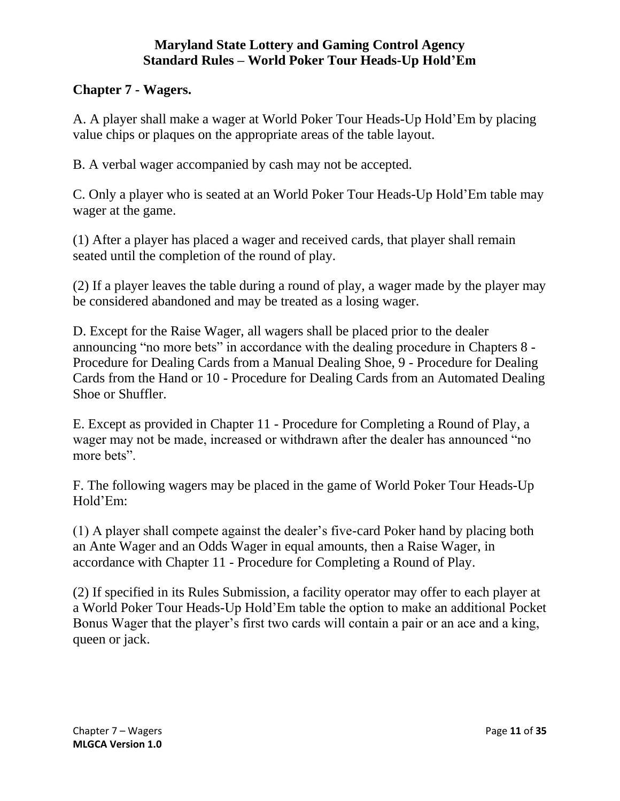#### **Chapter 7 - Wagers.**

A. A player shall make a wager at World Poker Tour Heads-Up Hold'Em by placing value chips or plaques on the appropriate areas of the table layout.

B. A verbal wager accompanied by cash may not be accepted.

C. Only a player who is seated at an World Poker Tour Heads-Up Hold'Em table may wager at the game.

(1) After a player has placed a wager and received cards, that player shall remain seated until the completion of the round of play.

(2) If a player leaves the table during a round of play, a wager made by the player may be considered abandoned and may be treated as a losing wager.

D. Except for the Raise Wager, all wagers shall be placed prior to the dealer announcing "no more bets" in accordance with the dealing procedure in Chapters 8 - Procedure for Dealing Cards from a Manual Dealing Shoe, 9 - Procedure for Dealing Cards from the Hand or 10 - Procedure for Dealing Cards from an Automated Dealing Shoe or Shuffler.

E. Except as provided in Chapter 11 - Procedure for Completing a Round of Play, a wager may not be made, increased or withdrawn after the dealer has announced "no more bets".

F. The following wagers may be placed in the game of World Poker Tour Heads-Up Hold'Em:

(1) A player shall compete against the dealer's five-card Poker hand by placing both an Ante Wager and an Odds Wager in equal amounts, then a Raise Wager, in accordance with Chapter 11 - Procedure for Completing a Round of Play.

(2) If specified in its Rules Submission, a facility operator may offer to each player at a World Poker Tour Heads-Up Hold'Em table the option to make an additional Pocket Bonus Wager that the player's first two cards will contain a pair or an ace and a king, queen or jack.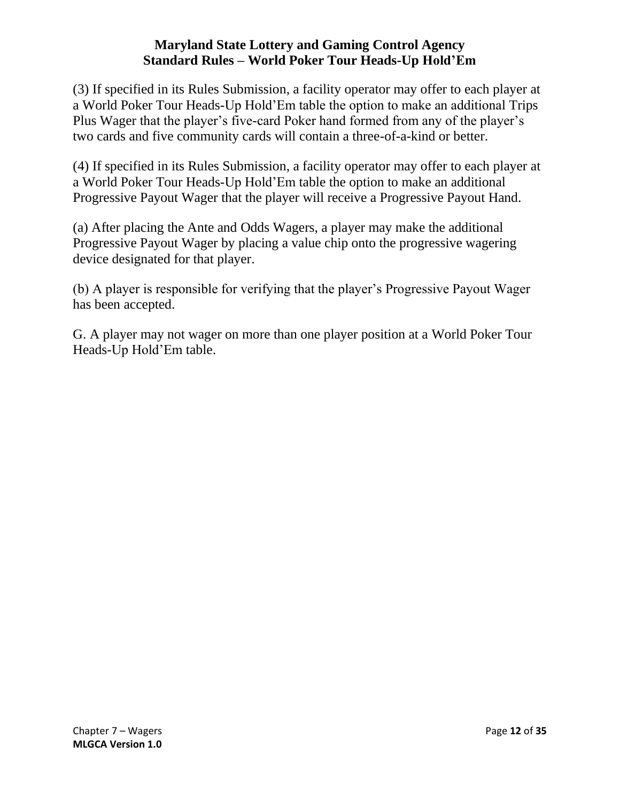(3) If specified in its Rules Submission, a facility operator may offer to each player at a World Poker Tour Heads-Up Hold'Em table the option to make an additional Trips Plus Wager that the player's five-card Poker hand formed from any of the player's two cards and five community cards will contain a three-of-a-kind or better.

(4) If specified in its Rules Submission, a facility operator may offer to each player at a World Poker Tour Heads-Up Hold'Em table the option to make an additional Progressive Payout Wager that the player will receive a Progressive Payout Hand.

(a) After placing the Ante and Odds Wagers, a player may make the additional Progressive Payout Wager by placing a value chip onto the progressive wagering device designated for that player.

(b) A player is responsible for verifying that the player's Progressive Payout Wager has been accepted.

<span id="page-11-0"></span>G. A player may not wager on more than one player position at a World Poker Tour Heads-Up Hold'Em table.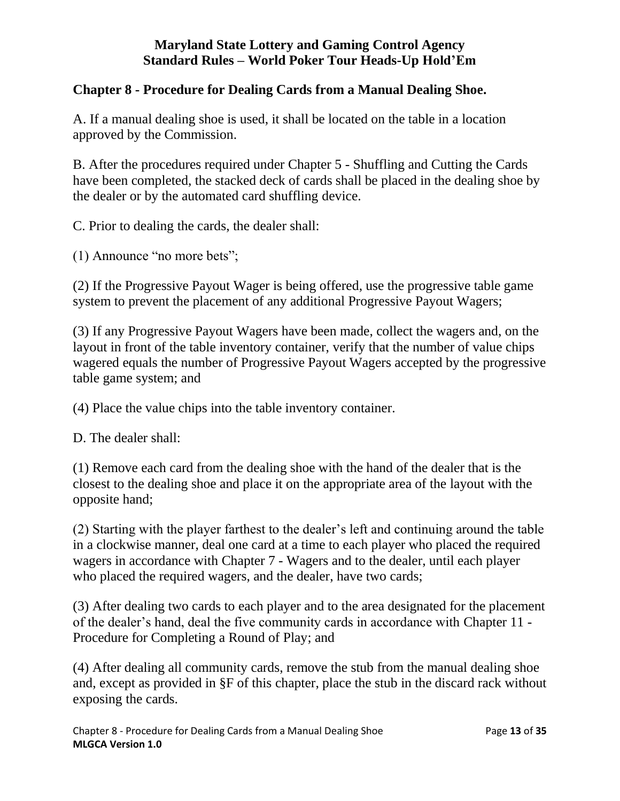#### **Chapter 8 - Procedure for Dealing Cards from a Manual Dealing Shoe.**

A. If a manual dealing shoe is used, it shall be located on the table in a location approved by the Commission.

B. After the procedures required under Chapter 5 - Shuffling and Cutting the Cards have been completed, the stacked deck of cards shall be placed in the dealing shoe by the dealer or by the automated card shuffling device.

C. Prior to dealing the cards, the dealer shall:

(1) Announce "no more bets";

(2) If the Progressive Payout Wager is being offered, use the progressive table game system to prevent the placement of any additional Progressive Payout Wagers;

(3) If any Progressive Payout Wagers have been made, collect the wagers and, on the layout in front of the table inventory container, verify that the number of value chips wagered equals the number of Progressive Payout Wagers accepted by the progressive table game system; and

(4) Place the value chips into the table inventory container.

D. The dealer shall:

(1) Remove each card from the dealing shoe with the hand of the dealer that is the closest to the dealing shoe and place it on the appropriate area of the layout with the opposite hand;

(2) Starting with the player farthest to the dealer's left and continuing around the table in a clockwise manner, deal one card at a time to each player who placed the required wagers in accordance with Chapter 7 - Wagers and to the dealer, until each player who placed the required wagers, and the dealer, have two cards;

(3) After dealing two cards to each player and to the area designated for the placement of the dealer's hand, deal the five community cards in accordance with Chapter 11 - Procedure for Completing a Round of Play; and

(4) After dealing all community cards, remove the stub from the manual dealing shoe and, except as provided in §F of this chapter, place the stub in the discard rack without exposing the cards.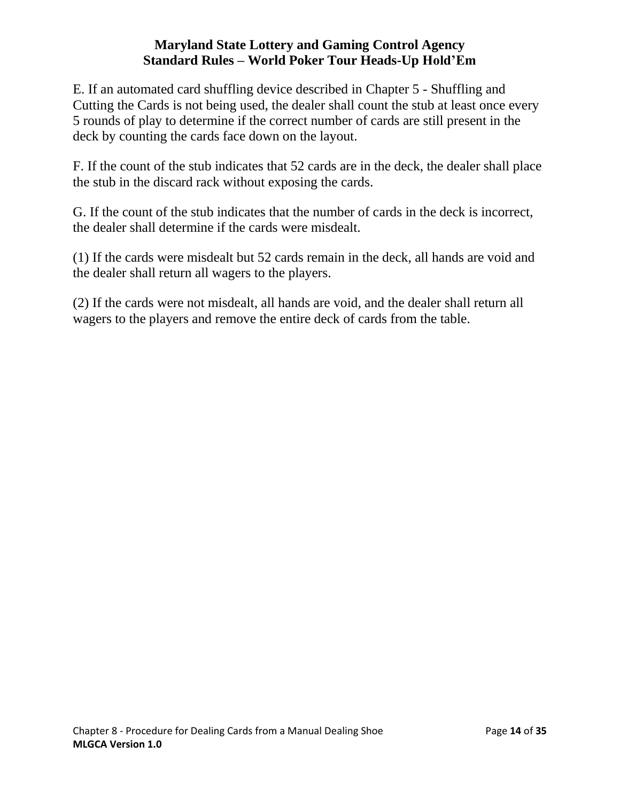E. If an automated card shuffling device described in Chapter 5 - Shuffling and Cutting the Cards is not being used, the dealer shall count the stub at least once every 5 rounds of play to determine if the correct number of cards are still present in the deck by counting the cards face down on the layout.

F. If the count of the stub indicates that 52 cards are in the deck, the dealer shall place the stub in the discard rack without exposing the cards.

G. If the count of the stub indicates that the number of cards in the deck is incorrect, the dealer shall determine if the cards were misdealt.

(1) If the cards were misdealt but 52 cards remain in the deck, all hands are void and the dealer shall return all wagers to the players.

<span id="page-13-0"></span>(2) If the cards were not misdealt, all hands are void, and the dealer shall return all wagers to the players and remove the entire deck of cards from the table.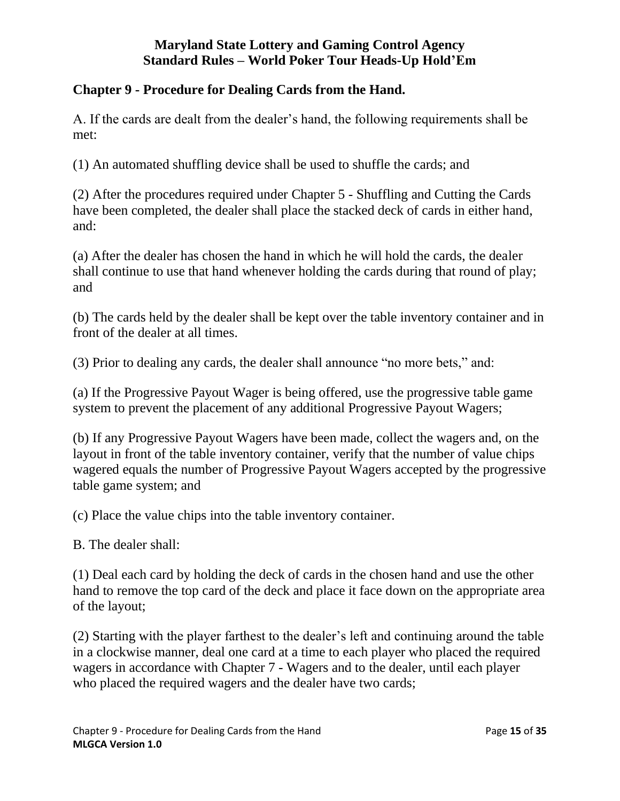### **Chapter 9 - Procedure for Dealing Cards from the Hand.**

A. If the cards are dealt from the dealer's hand, the following requirements shall be met:

(1) An automated shuffling device shall be used to shuffle the cards; and

(2) After the procedures required under Chapter 5 - Shuffling and Cutting the Cards have been completed, the dealer shall place the stacked deck of cards in either hand, and:

(a) After the dealer has chosen the hand in which he will hold the cards, the dealer shall continue to use that hand whenever holding the cards during that round of play; and

(b) The cards held by the dealer shall be kept over the table inventory container and in front of the dealer at all times.

(3) Prior to dealing any cards, the dealer shall announce "no more bets," and:

(a) If the Progressive Payout Wager is being offered, use the progressive table game system to prevent the placement of any additional Progressive Payout Wagers;

(b) If any Progressive Payout Wagers have been made, collect the wagers and, on the layout in front of the table inventory container, verify that the number of value chips wagered equals the number of Progressive Payout Wagers accepted by the progressive table game system; and

(c) Place the value chips into the table inventory container.

B. The dealer shall:

(1) Deal each card by holding the deck of cards in the chosen hand and use the other hand to remove the top card of the deck and place it face down on the appropriate area of the layout;

(2) Starting with the player farthest to the dealer's left and continuing around the table in a clockwise manner, deal one card at a time to each player who placed the required wagers in accordance with Chapter 7 - Wagers and to the dealer, until each player who placed the required wagers and the dealer have two cards;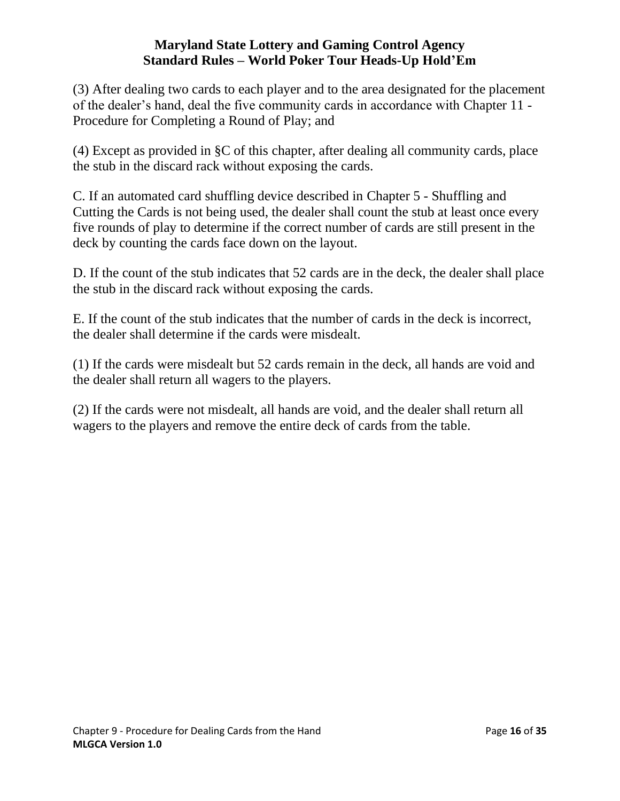(3) After dealing two cards to each player and to the area designated for the placement of the dealer's hand, deal the five community cards in accordance with Chapter 11 - Procedure for Completing a Round of Play; and

(4) Except as provided in §C of this chapter, after dealing all community cards, place the stub in the discard rack without exposing the cards.

C. If an automated card shuffling device described in Chapter 5 - Shuffling and Cutting the Cards is not being used, the dealer shall count the stub at least once every five rounds of play to determine if the correct number of cards are still present in the deck by counting the cards face down on the layout.

D. If the count of the stub indicates that 52 cards are in the deck, the dealer shall place the stub in the discard rack without exposing the cards.

E. If the count of the stub indicates that the number of cards in the deck is incorrect, the dealer shall determine if the cards were misdealt.

(1) If the cards were misdealt but 52 cards remain in the deck, all hands are void and the dealer shall return all wagers to the players.

<span id="page-15-0"></span>(2) If the cards were not misdealt, all hands are void, and the dealer shall return all wagers to the players and remove the entire deck of cards from the table.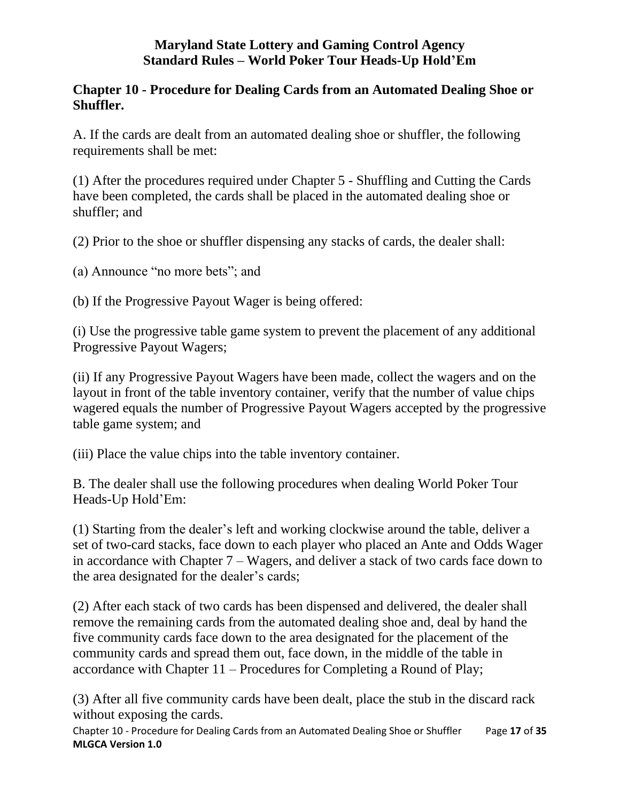### **Chapter 10 - Procedure for Dealing Cards from an Automated Dealing Shoe or Shuffler.**

A. If the cards are dealt from an automated dealing shoe or shuffler, the following requirements shall be met:

(1) After the procedures required under Chapter 5 - Shuffling and Cutting the Cards have been completed, the cards shall be placed in the automated dealing shoe or shuffler; and

(2) Prior to the shoe or shuffler dispensing any stacks of cards, the dealer shall:

(a) Announce "no more bets"; and

(b) If the Progressive Payout Wager is being offered:

(i) Use the progressive table game system to prevent the placement of any additional Progressive Payout Wagers;

(ii) If any Progressive Payout Wagers have been made, collect the wagers and on the layout in front of the table inventory container, verify that the number of value chips wagered equals the number of Progressive Payout Wagers accepted by the progressive table game system; and

(iii) Place the value chips into the table inventory container.

B. The dealer shall use the following procedures when dealing World Poker Tour Heads-Up Hold'Em:

(1) Starting from the dealer's left and working clockwise around the table, deliver a set of two-card stacks, face down to each player who placed an Ante and Odds Wager in accordance with Chapter 7 – Wagers, and deliver a stack of two cards face down to the area designated for the dealer's cards;

(2) After each stack of two cards has been dispensed and delivered, the dealer shall remove the remaining cards from the automated dealing shoe and, deal by hand the five community cards face down to the area designated for the placement of the community cards and spread them out, face down, in the middle of the table in accordance with Chapter 11 – Procedures for Completing a Round of Play;

(3) After all five community cards have been dealt, place the stub in the discard rack without exposing the cards.

Chapter 10 - Procedure for Dealing Cards from an Automated Dealing Shoe or Shuffler Page **17** of **35 MLGCA Version 1.0**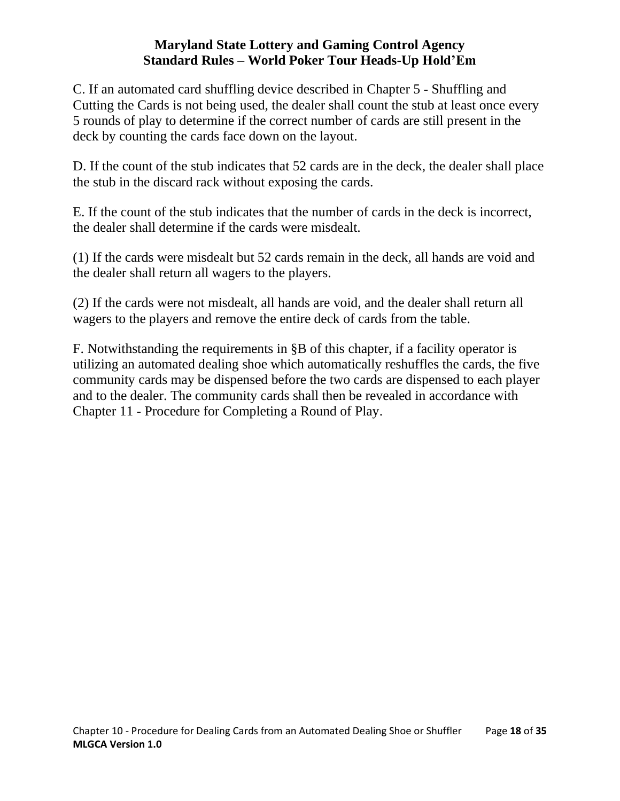C. If an automated card shuffling device described in Chapter 5 - Shuffling and Cutting the Cards is not being used, the dealer shall count the stub at least once every 5 rounds of play to determine if the correct number of cards are still present in the deck by counting the cards face down on the layout.

D. If the count of the stub indicates that 52 cards are in the deck, the dealer shall place the stub in the discard rack without exposing the cards.

E. If the count of the stub indicates that the number of cards in the deck is incorrect, the dealer shall determine if the cards were misdealt.

(1) If the cards were misdealt but 52 cards remain in the deck, all hands are void and the dealer shall return all wagers to the players.

(2) If the cards were not misdealt, all hands are void, and the dealer shall return all wagers to the players and remove the entire deck of cards from the table.

<span id="page-17-0"></span>F. Notwithstanding the requirements in §B of this chapter, if a facility operator is utilizing an automated dealing shoe which automatically reshuffles the cards, the five community cards may be dispensed before the two cards are dispensed to each player and to the dealer. The community cards shall then be revealed in accordance with Chapter 11 - Procedure for Completing a Round of Play.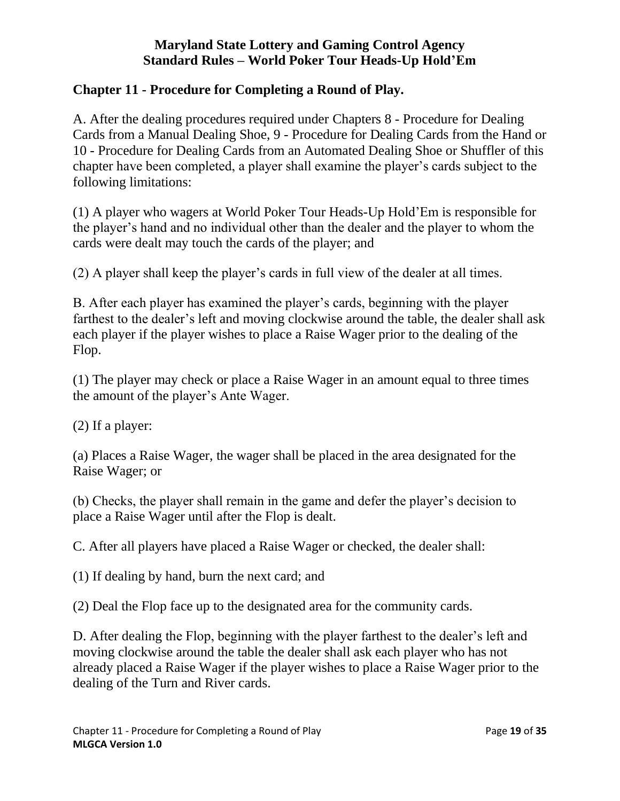## **Chapter 11 - Procedure for Completing a Round of Play.**

A. After the dealing procedures required under Chapters 8 - Procedure for Dealing Cards from a Manual Dealing Shoe, 9 - Procedure for Dealing Cards from the Hand or 10 - Procedure for Dealing Cards from an Automated Dealing Shoe or Shuffler of this chapter have been completed, a player shall examine the player's cards subject to the following limitations:

(1) A player who wagers at World Poker Tour Heads-Up Hold'Em is responsible for the player's hand and no individual other than the dealer and the player to whom the cards were dealt may touch the cards of the player; and

(2) A player shall keep the player's cards in full view of the dealer at all times.

B. After each player has examined the player's cards, beginning with the player farthest to the dealer's left and moving clockwise around the table, the dealer shall ask each player if the player wishes to place a Raise Wager prior to the dealing of the Flop.

(1) The player may check or place a Raise Wager in an amount equal to three times the amount of the player's Ante Wager.

(2) If a player:

(a) Places a Raise Wager, the wager shall be placed in the area designated for the Raise Wager; or

(b) Checks, the player shall remain in the game and defer the player's decision to place a Raise Wager until after the Flop is dealt.

C. After all players have placed a Raise Wager or checked, the dealer shall:

(1) If dealing by hand, burn the next card; and

(2) Deal the Flop face up to the designated area for the community cards.

D. After dealing the Flop, beginning with the player farthest to the dealer's left and moving clockwise around the table the dealer shall ask each player who has not already placed a Raise Wager if the player wishes to place a Raise Wager prior to the dealing of the Turn and River cards.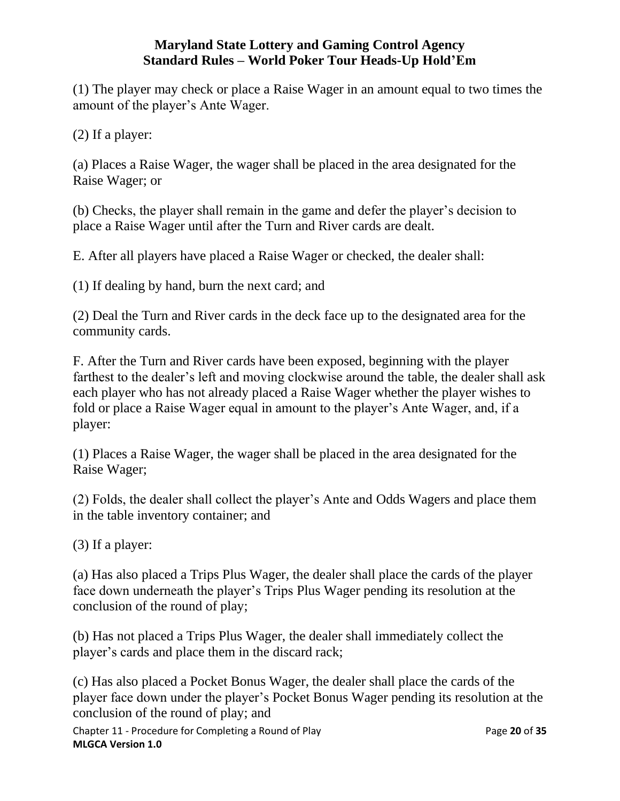(1) The player may check or place a Raise Wager in an amount equal to two times the amount of the player's Ante Wager.

(2) If a player:

(a) Places a Raise Wager, the wager shall be placed in the area designated for the Raise Wager; or

(b) Checks, the player shall remain in the game and defer the player's decision to place a Raise Wager until after the Turn and River cards are dealt.

E. After all players have placed a Raise Wager or checked, the dealer shall:

(1) If dealing by hand, burn the next card; and

(2) Deal the Turn and River cards in the deck face up to the designated area for the community cards.

F. After the Turn and River cards have been exposed, beginning with the player farthest to the dealer's left and moving clockwise around the table, the dealer shall ask each player who has not already placed a Raise Wager whether the player wishes to fold or place a Raise Wager equal in amount to the player's Ante Wager, and, if a player:

(1) Places a Raise Wager, the wager shall be placed in the area designated for the Raise Wager;

(2) Folds, the dealer shall collect the player's Ante and Odds Wagers and place them in the table inventory container; and

(3) If a player:

(a) Has also placed a Trips Plus Wager, the dealer shall place the cards of the player face down underneath the player's Trips Plus Wager pending its resolution at the conclusion of the round of play;

(b) Has not placed a Trips Plus Wager, the dealer shall immediately collect the player's cards and place them in the discard rack;

(c) Has also placed a Pocket Bonus Wager, the dealer shall place the cards of the player face down under the player's Pocket Bonus Wager pending its resolution at the conclusion of the round of play; and

Chapter 11 - Procedure for Completing a Round of Play Page **20** of **35 MLGCA Version 1.0**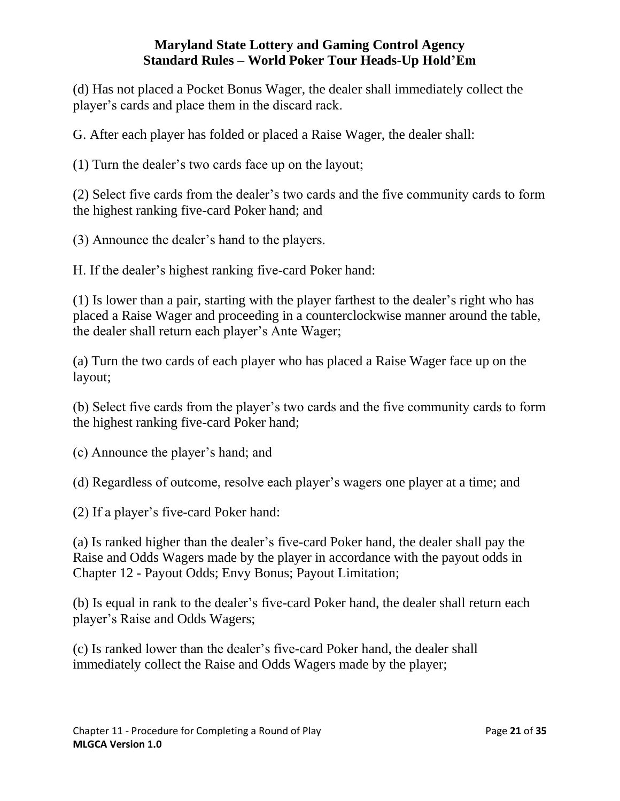(d) Has not placed a Pocket Bonus Wager, the dealer shall immediately collect the player's cards and place them in the discard rack.

G. After each player has folded or placed a Raise Wager, the dealer shall:

(1) Turn the dealer's two cards face up on the layout;

(2) Select five cards from the dealer's two cards and the five community cards to form the highest ranking five-card Poker hand; and

(3) Announce the dealer's hand to the players.

H. If the dealer's highest ranking five-card Poker hand:

(1) Is lower than a pair, starting with the player farthest to the dealer's right who has placed a Raise Wager and proceeding in a counterclockwise manner around the table, the dealer shall return each player's Ante Wager;

(a) Turn the two cards of each player who has placed a Raise Wager face up on the layout;

(b) Select five cards from the player's two cards and the five community cards to form the highest ranking five-card Poker hand;

(c) Announce the player's hand; and

(d) Regardless of outcome, resolve each player's wagers one player at a time; and

(2) If a player's five-card Poker hand:

(a) Is ranked higher than the dealer's five-card Poker hand, the dealer shall pay the Raise and Odds Wagers made by the player in accordance with the payout odds in Chapter 12 - Payout Odds; Envy Bonus; Payout Limitation;

(b) Is equal in rank to the dealer's five-card Poker hand, the dealer shall return each player's Raise and Odds Wagers;

(c) Is ranked lower than the dealer's five-card Poker hand, the dealer shall immediately collect the Raise and Odds Wagers made by the player;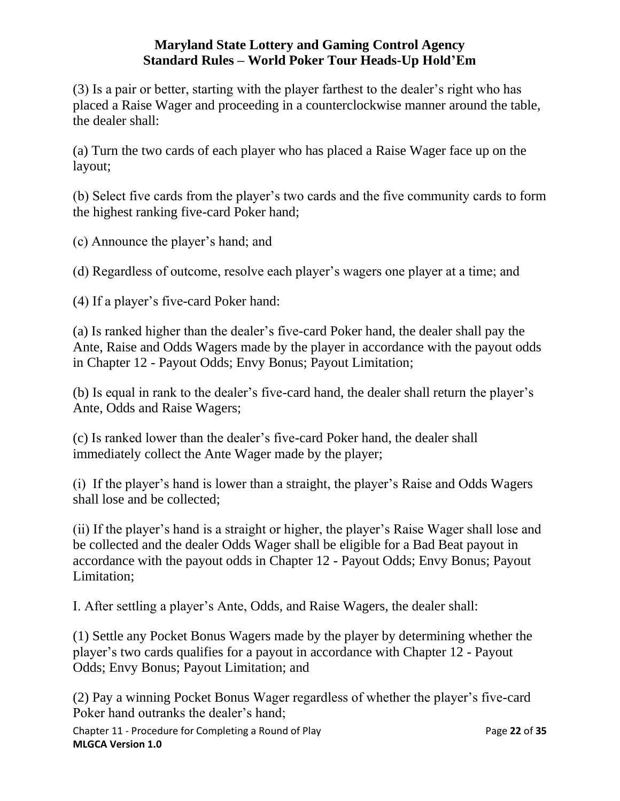(3) Is a pair or better, starting with the player farthest to the dealer's right who has placed a Raise Wager and proceeding in a counterclockwise manner around the table, the dealer shall:

(a) Turn the two cards of each player who has placed a Raise Wager face up on the layout;

(b) Select five cards from the player's two cards and the five community cards to form the highest ranking five-card Poker hand;

(c) Announce the player's hand; and

(d) Regardless of outcome, resolve each player's wagers one player at a time; and

(4) If a player's five-card Poker hand:

(a) Is ranked higher than the dealer's five-card Poker hand, the dealer shall pay the Ante, Raise and Odds Wagers made by the player in accordance with the payout odds in Chapter 12 - Payout Odds; Envy Bonus; Payout Limitation;

(b) Is equal in rank to the dealer's five-card hand, the dealer shall return the player's Ante, Odds and Raise Wagers;

(c) Is ranked lower than the dealer's five-card Poker hand, the dealer shall immediately collect the Ante Wager made by the player;

(i) If the player's hand is lower than a straight, the player's Raise and Odds Wagers shall lose and be collected;

(ii) If the player's hand is a straight or higher, the player's Raise Wager shall lose and be collected and the dealer Odds Wager shall be eligible for a Bad Beat payout in accordance with the payout odds in Chapter 12 - Payout Odds; Envy Bonus; Payout Limitation;

I. After settling a player's Ante, Odds, and Raise Wagers, the dealer shall:

(1) Settle any Pocket Bonus Wagers made by the player by determining whether the player's two cards qualifies for a payout in accordance with Chapter 12 - Payout Odds; Envy Bonus; Payout Limitation; and

(2) Pay a winning Pocket Bonus Wager regardless of whether the player's five-card Poker hand outranks the dealer's hand;

Chapter 11 - Procedure for Completing a Round of Play Page **22** of **35 MLGCA Version 1.0**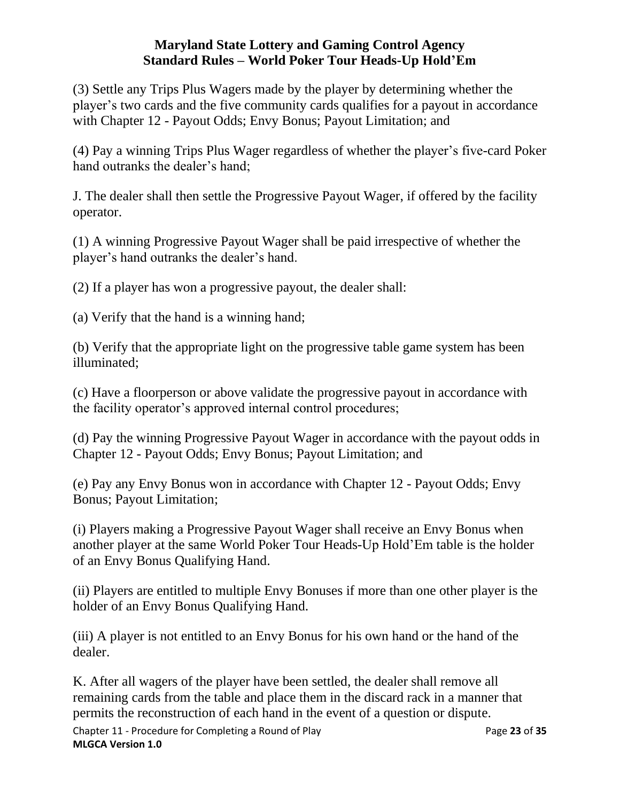(3) Settle any Trips Plus Wagers made by the player by determining whether the player's two cards and the five community cards qualifies for a payout in accordance with Chapter 12 - Payout Odds; Envy Bonus; Payout Limitation; and

(4) Pay a winning Trips Plus Wager regardless of whether the player's five-card Poker hand outranks the dealer's hand;

J. The dealer shall then settle the Progressive Payout Wager, if offered by the facility operator.

(1) A winning Progressive Payout Wager shall be paid irrespective of whether the player's hand outranks the dealer's hand.

(2) If a player has won a progressive payout, the dealer shall:

(a) Verify that the hand is a winning hand;

(b) Verify that the appropriate light on the progressive table game system has been illuminated;

(c) Have a floorperson or above validate the progressive payout in accordance with the facility operator's approved internal control procedures;

(d) Pay the winning Progressive Payout Wager in accordance with the payout odds in Chapter 12 - Payout Odds; Envy Bonus; Payout Limitation; and

(e) Pay any Envy Bonus won in accordance with Chapter 12 - Payout Odds; Envy Bonus; Payout Limitation;

(i) Players making a Progressive Payout Wager shall receive an Envy Bonus when another player at the same World Poker Tour Heads-Up Hold'Em table is the holder of an Envy Bonus Qualifying Hand.

(ii) Players are entitled to multiple Envy Bonuses if more than one other player is the holder of an Envy Bonus Qualifying Hand.

(iii) A player is not entitled to an Envy Bonus for his own hand or the hand of the dealer.

<span id="page-22-0"></span>K. After all wagers of the player have been settled, the dealer shall remove all remaining cards from the table and place them in the discard rack in a manner that permits the reconstruction of each hand in the event of a question or dispute.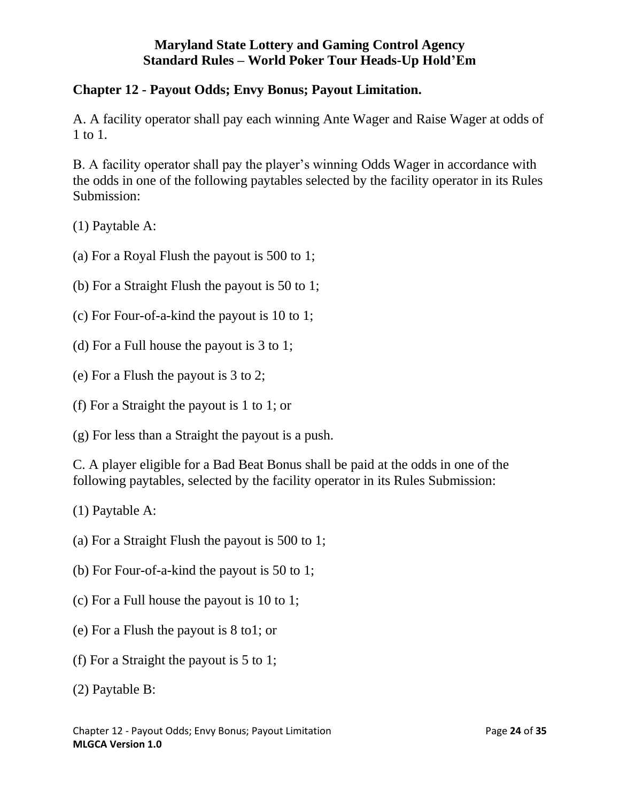## **Chapter 12 - Payout Odds; Envy Bonus; Payout Limitation.**

A. A facility operator shall pay each winning Ante Wager and Raise Wager at odds of 1 to 1.

B. A facility operator shall pay the player's winning Odds Wager in accordance with the odds in one of the following paytables selected by the facility operator in its Rules Submission:

(1) Paytable A:

(a) For a Royal Flush the payout is 500 to 1;

(b) For a Straight Flush the payout is 50 to 1;

- (c) For Four-of-a-kind the payout is 10 to 1;
- (d) For a Full house the payout is 3 to 1;
- (e) For a Flush the payout is 3 to 2;
- (f) For a Straight the payout is 1 to 1; or

(g) For less than a Straight the payout is a push.

C. A player eligible for a Bad Beat Bonus shall be paid at the odds in one of the following paytables, selected by the facility operator in its Rules Submission:

(1) Paytable A:

- (a) For a Straight Flush the payout is 500 to 1;
- (b) For Four-of-a-kind the payout is 50 to 1;
- (c) For a Full house the payout is 10 to 1;
- (e) For a Flush the payout is 8 to1; or
- (f) For a Straight the payout is 5 to 1;

(2) Paytable B: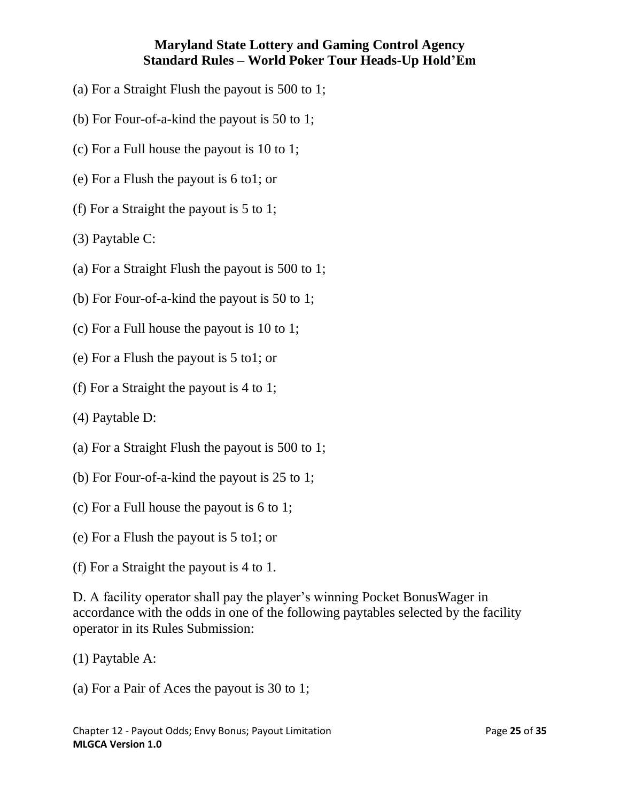- (a) For a Straight Flush the payout is 500 to 1;
- (b) For Four-of-a-kind the payout is 50 to 1;
- (c) For a Full house the payout is 10 to 1;
- (e) For a Flush the payout is 6 to1; or
- (f) For a Straight the payout is 5 to 1;
- (3) Paytable C:
- (a) For a Straight Flush the payout is 500 to 1;
- (b) For Four-of-a-kind the payout is 50 to 1;
- (c) For a Full house the payout is 10 to 1;
- (e) For a Flush the payout is 5 to1; or
- (f) For a Straight the payout is 4 to 1;
- (4) Paytable D:
- (a) For a Straight Flush the payout is 500 to 1;
- (b) For Four-of-a-kind the payout is 25 to 1;
- (c) For a Full house the payout is 6 to 1;
- (e) For a Flush the payout is 5 to1; or
- (f) For a Straight the payout is 4 to 1.

D. A facility operator shall pay the player's winning Pocket BonusWager in accordance with the odds in one of the following paytables selected by the facility operator in its Rules Submission:

- (1) Paytable A:
- (a) For a Pair of Aces the payout is 30 to 1;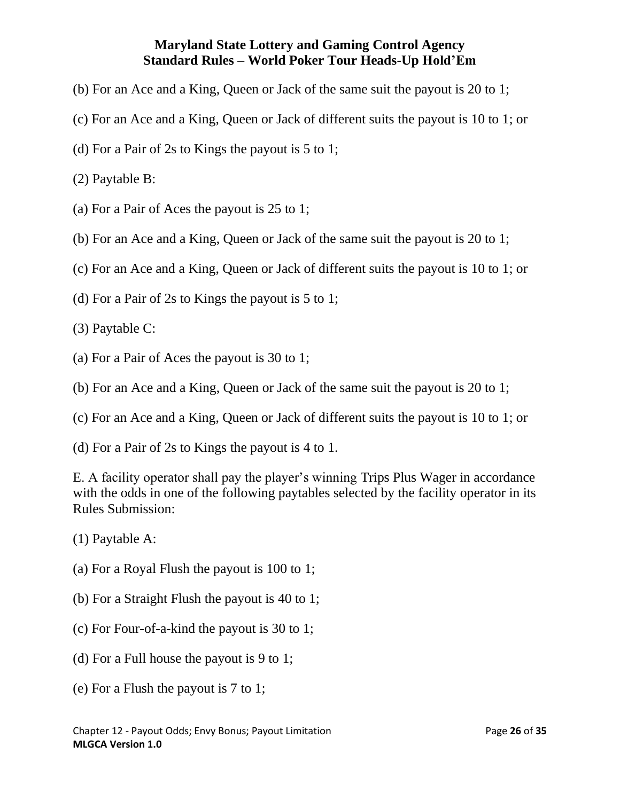- (b) For an Ace and a King, Queen or Jack of the same suit the payout is 20 to 1;
- (c) For an Ace and a King, Queen or Jack of different suits the payout is 10 to 1; or
- (d) For a Pair of 2s to Kings the payout is 5 to 1;
- (2) Paytable B:
- (a) For a Pair of Aces the payout is 25 to 1;
- (b) For an Ace and a King, Queen or Jack of the same suit the payout is 20 to 1;
- (c) For an Ace and a King, Queen or Jack of different suits the payout is 10 to 1; or
- (d) For a Pair of 2s to Kings the payout is 5 to 1;
- (3) Paytable C:
- (a) For a Pair of Aces the payout is 30 to 1;
- (b) For an Ace and a King, Queen or Jack of the same suit the payout is 20 to 1;
- (c) For an Ace and a King, Queen or Jack of different suits the payout is 10 to 1; or
- (d) For a Pair of 2s to Kings the payout is 4 to 1.

E. A facility operator shall pay the player's winning Trips Plus Wager in accordance with the odds in one of the following paytables selected by the facility operator in its Rules Submission:

- (1) Paytable A:
- (a) For a Royal Flush the payout is 100 to 1;
- (b) For a Straight Flush the payout is 40 to 1;
- (c) For Four-of-a-kind the payout is 30 to 1;
- (d) For a Full house the payout is 9 to 1;
- (e) For a Flush the payout is 7 to 1;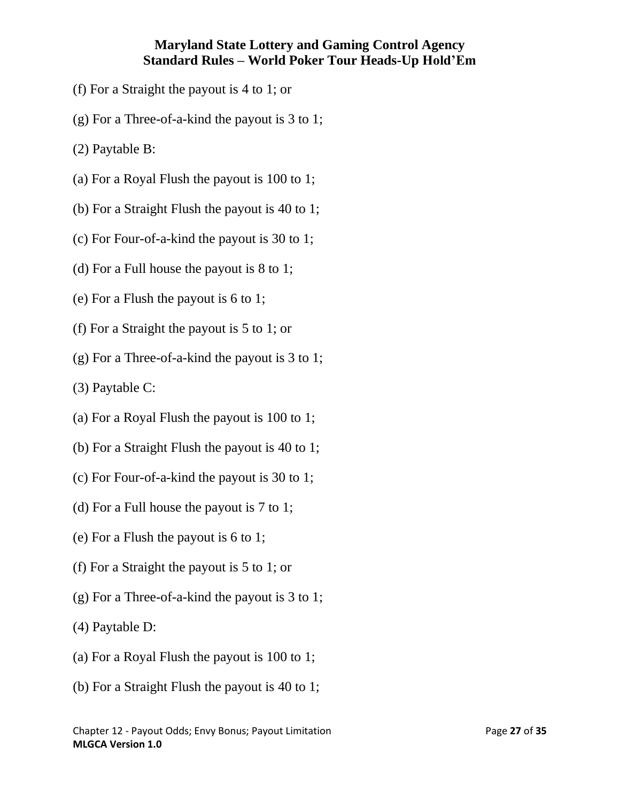- (f) For a Straight the payout is 4 to 1; or
- (g) For a Three-of-a-kind the payout is 3 to 1;
- (2) Paytable B:
- (a) For a Royal Flush the payout is 100 to 1;
- (b) For a Straight Flush the payout is 40 to 1;
- (c) For Four-of-a-kind the payout is 30 to 1;
- (d) For a Full house the payout is 8 to 1;
- (e) For a Flush the payout is 6 to 1;
- (f) For a Straight the payout is 5 to 1; or
- (g) For a Three-of-a-kind the payout is 3 to 1;
- (3) Paytable C:
- (a) For a Royal Flush the payout is 100 to 1;
- (b) For a Straight Flush the payout is 40 to 1;
- (c) For Four-of-a-kind the payout is 30 to 1;
- (d) For a Full house the payout is 7 to 1;
- (e) For a Flush the payout is 6 to 1;
- (f) For a Straight the payout is 5 to 1; or
- (g) For a Three-of-a-kind the payout is 3 to 1;
- (4) Paytable D:
- (a) For a Royal Flush the payout is 100 to 1;
- (b) For a Straight Flush the payout is 40 to 1;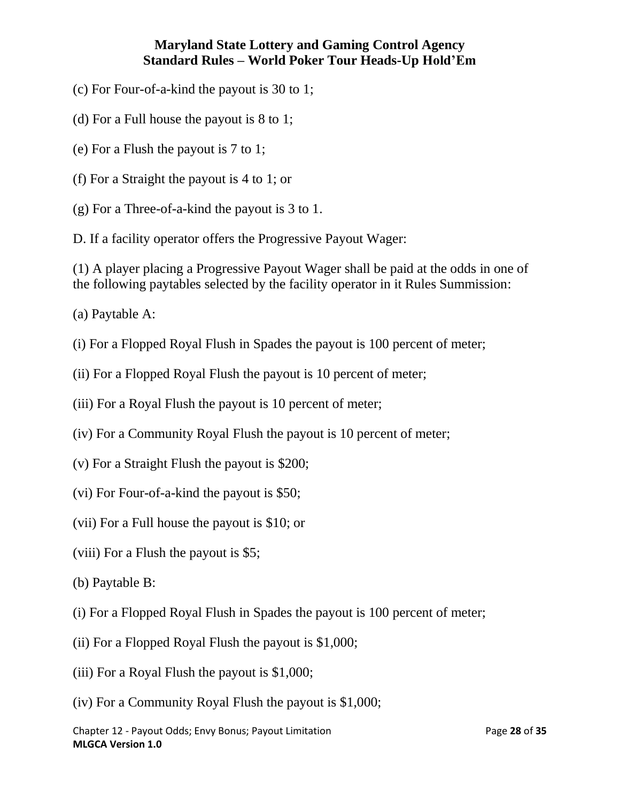- (c) For Four-of-a-kind the payout is 30 to 1;
- (d) For a Full house the payout is 8 to 1;
- (e) For a Flush the payout is 7 to 1;
- (f) For a Straight the payout is 4 to 1; or
- (g) For a Three-of-a-kind the payout is 3 to 1.

D. If a facility operator offers the Progressive Payout Wager:

(1) A player placing a Progressive Payout Wager shall be paid at the odds in one of the following paytables selected by the facility operator in it Rules Summission:

- (a) Paytable A:
- (i) For a Flopped Royal Flush in Spades the payout is 100 percent of meter;
- (ii) For a Flopped Royal Flush the payout is 10 percent of meter;
- (iii) For a Royal Flush the payout is 10 percent of meter;
- (iv) For a Community Royal Flush the payout is 10 percent of meter;
- (v) For a Straight Flush the payout is \$200;
- (vi) For Four-of-a-kind the payout is \$50;
- (vii) For a Full house the payout is \$10; or
- (viii) For a Flush the payout is \$5;
- (b) Paytable B:
- (i) For a Flopped Royal Flush in Spades the payout is 100 percent of meter;
- (ii) For a Flopped Royal Flush the payout is \$1,000;
- (iii) For a Royal Flush the payout is \$1,000;
- (iv) For a Community Royal Flush the payout is \$1,000;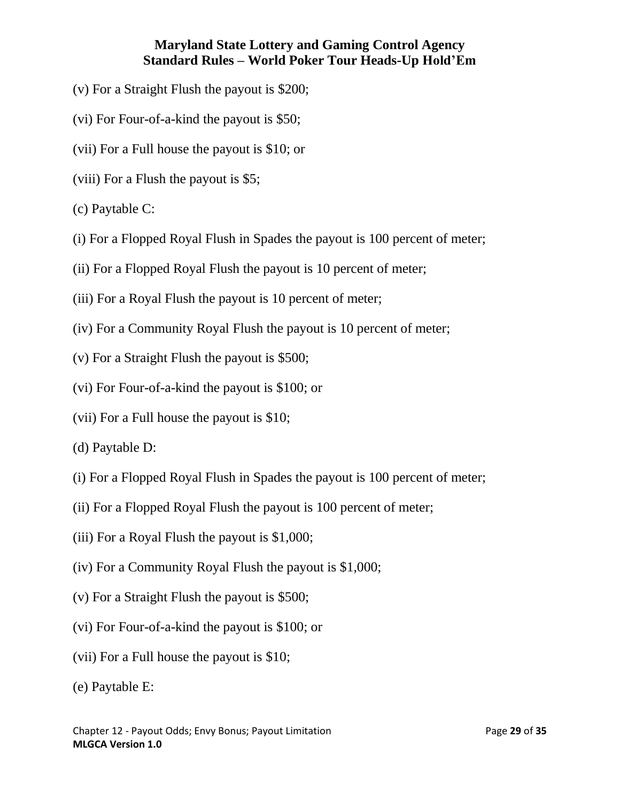- (v) For a Straight Flush the payout is \$200;
- (vi) For Four-of-a-kind the payout is \$50;
- (vii) For a Full house the payout is \$10; or
- (viii) For a Flush the payout is \$5;
- (c) Paytable C:
- (i) For a Flopped Royal Flush in Spades the payout is 100 percent of meter;
- (ii) For a Flopped Royal Flush the payout is 10 percent of meter;
- (iii) For a Royal Flush the payout is 10 percent of meter;
- (iv) For a Community Royal Flush the payout is 10 percent of meter;
- (v) For a Straight Flush the payout is \$500;
- (vi) For Four-of-a-kind the payout is \$100; or
- (vii) For a Full house the payout is \$10;
- (d) Paytable D:
- (i) For a Flopped Royal Flush in Spades the payout is 100 percent of meter;
- (ii) For a Flopped Royal Flush the payout is 100 percent of meter;
- (iii) For a Royal Flush the payout is \$1,000;
- (iv) For a Community Royal Flush the payout is \$1,000;
- (v) For a Straight Flush the payout is \$500;
- (vi) For Four-of-a-kind the payout is \$100; or
- (vii) For a Full house the payout is \$10;
- (e) Paytable E: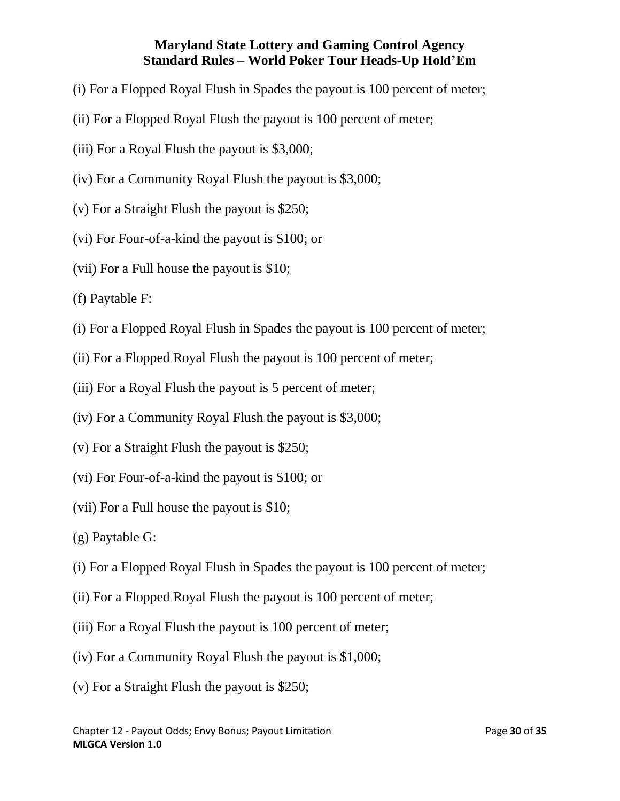- (i) For a Flopped Royal Flush in Spades the payout is 100 percent of meter;
- (ii) For a Flopped Royal Flush the payout is 100 percent of meter;
- (iii) For a Royal Flush the payout is \$3,000;
- (iv) For a Community Royal Flush the payout is \$3,000;
- (v) For a Straight Flush the payout is \$250;
- (vi) For Four-of-a-kind the payout is \$100; or
- (vii) For a Full house the payout is \$10;
- (f) Paytable F:
- (i) For a Flopped Royal Flush in Spades the payout is 100 percent of meter;
- (ii) For a Flopped Royal Flush the payout is 100 percent of meter;
- (iii) For a Royal Flush the payout is 5 percent of meter;
- (iv) For a Community Royal Flush the payout is \$3,000;
- (v) For a Straight Flush the payout is \$250;
- (vi) For Four-of-a-kind the payout is \$100; or
- (vii) For a Full house the payout is \$10;
- (g) Paytable G:
- (i) For a Flopped Royal Flush in Spades the payout is 100 percent of meter;
- (ii) For a Flopped Royal Flush the payout is 100 percent of meter;
- (iii) For a Royal Flush the payout is 100 percent of meter;
- (iv) For a Community Royal Flush the payout is \$1,000;
- (v) For a Straight Flush the payout is \$250;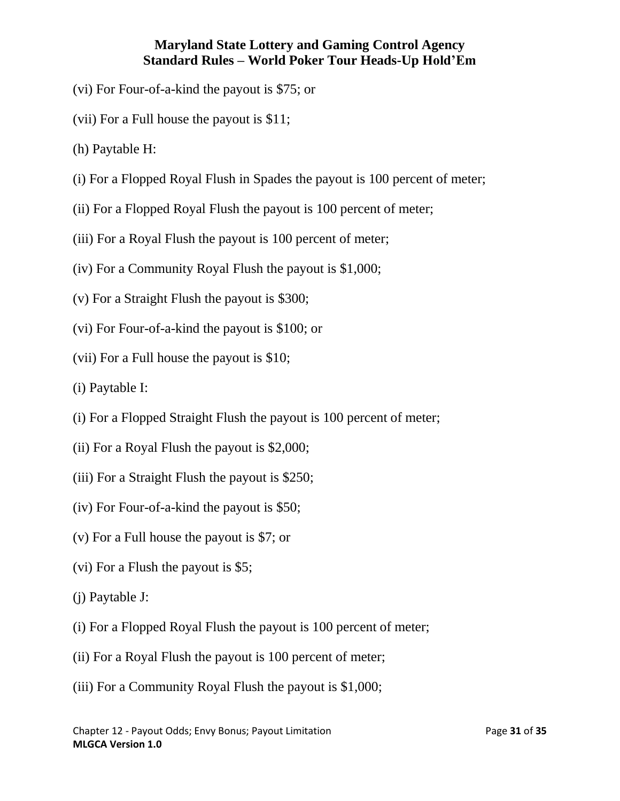- (vi) For Four-of-a-kind the payout is \$75; or
- (vii) For a Full house the payout is \$11;
- (h) Paytable H:
- (i) For a Flopped Royal Flush in Spades the payout is 100 percent of meter;
- (ii) For a Flopped Royal Flush the payout is 100 percent of meter;
- (iii) For a Royal Flush the payout is 100 percent of meter;
- (iv) For a Community Royal Flush the payout is \$1,000;
- (v) For a Straight Flush the payout is \$300;
- (vi) For Four-of-a-kind the payout is \$100; or
- (vii) For a Full house the payout is \$10;
- (i) Paytable I:
- (i) For a Flopped Straight Flush the payout is 100 percent of meter;
- (ii) For a Royal Flush the payout is \$2,000;
- (iii) For a Straight Flush the payout is \$250;
- (iv) For Four-of-a-kind the payout is \$50;
- (v) For a Full house the payout is \$7; or
- (vi) For a Flush the payout is \$5;
- (j) Paytable J:
- (i) For a Flopped Royal Flush the payout is 100 percent of meter;
- (ii) For a Royal Flush the payout is 100 percent of meter;
- (iii) For a Community Royal Flush the payout is \$1,000;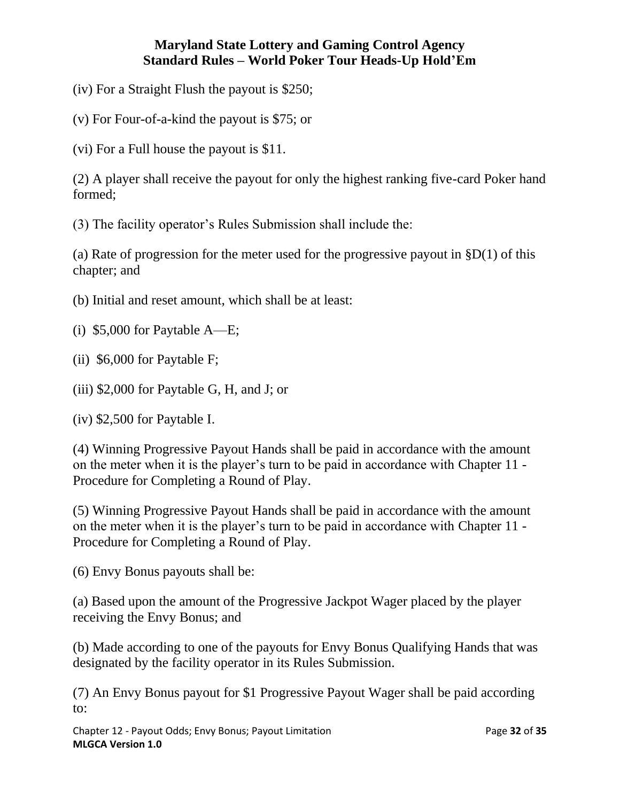(iv) For a Straight Flush the payout is \$250;

(v) For Four-of-a-kind the payout is \$75; or

(vi) For a Full house the payout is \$11.

(2) A player shall receive the payout for only the highest ranking five-card Poker hand formed;

(3) The facility operator's Rules Submission shall include the:

(a) Rate of progression for the meter used for the progressive payout in  $$D(1)$  of this chapter; and

(b) Initial and reset amount, which shall be at least:

(i) \$5,000 for Paytable A—E;

(ii) \$6,000 for Paytable F;

(iii) \$2,000 for Paytable G, H, and J; or

(iv) \$2,500 for Paytable I.

(4) Winning Progressive Payout Hands shall be paid in accordance with the amount on the meter when it is the player's turn to be paid in accordance with Chapter 11 - Procedure for Completing a Round of Play.

(5) Winning Progressive Payout Hands shall be paid in accordance with the amount on the meter when it is the player's turn to be paid in accordance with Chapter 11 - Procedure for Completing a Round of Play.

(6) Envy Bonus payouts shall be:

(a) Based upon the amount of the Progressive Jackpot Wager placed by the player receiving the Envy Bonus; and

(b) Made according to one of the payouts for Envy Bonus Qualifying Hands that was designated by the facility operator in its Rules Submission.

(7) An Envy Bonus payout for \$1 Progressive Payout Wager shall be paid according to:

Chapter 12 - Payout Odds; Envy Bonus; Payout Limitation Page **32** of **35 MLGCA Version 1.0**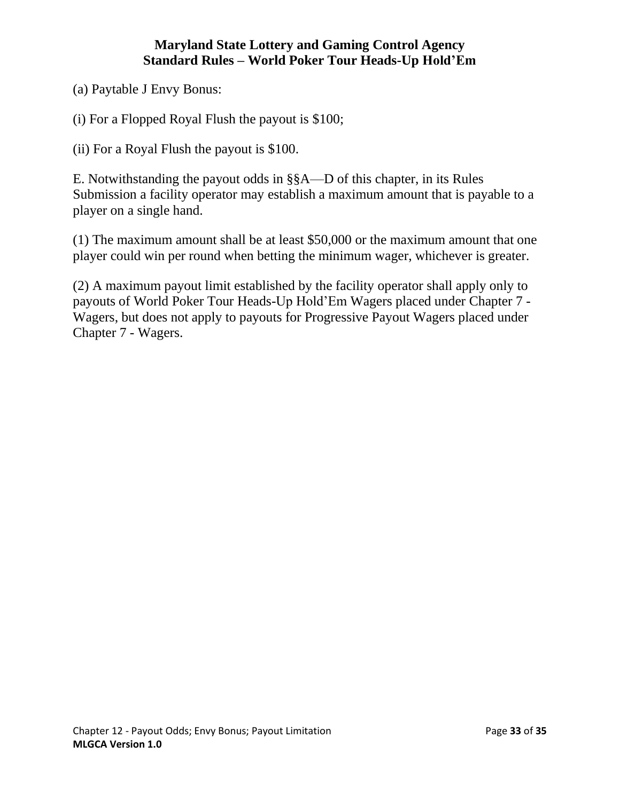(a) Paytable J Envy Bonus:

(i) For a Flopped Royal Flush the payout is \$100;

(ii) For a Royal Flush the payout is \$100.

E. Notwithstanding the payout odds in §§A—D of this chapter, in its Rules Submission a facility operator may establish a maximum amount that is payable to a player on a single hand.

(1) The maximum amount shall be at least \$50,000 or the maximum amount that one player could win per round when betting the minimum wager, whichever is greater.

<span id="page-32-0"></span>(2) A maximum payout limit established by the facility operator shall apply only to payouts of World Poker Tour Heads-Up Hold'Em Wagers placed under Chapter 7 - Wagers, but does not apply to payouts for Progressive Payout Wagers placed under Chapter 7 - Wagers.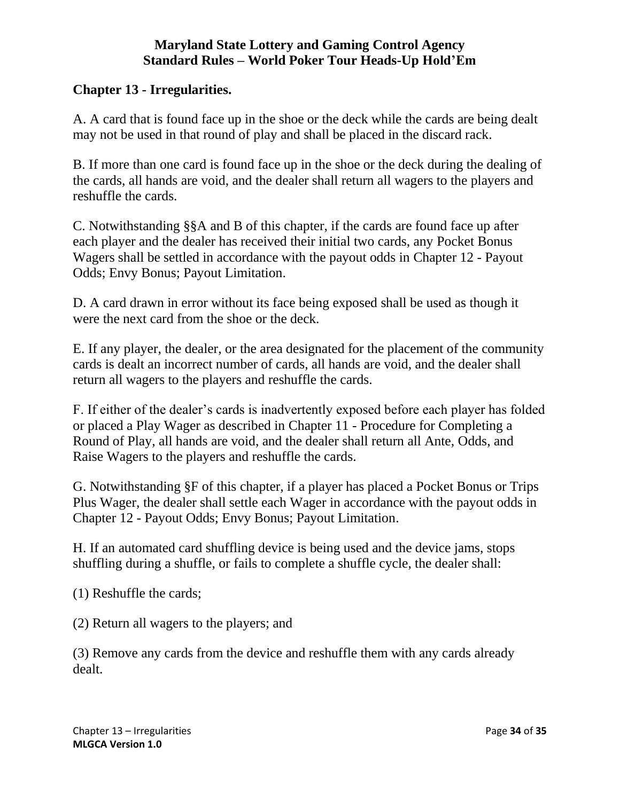#### **Chapter 13 - Irregularities.**

A. A card that is found face up in the shoe or the deck while the cards are being dealt may not be used in that round of play and shall be placed in the discard rack.

B. If more than one card is found face up in the shoe or the deck during the dealing of the cards, all hands are void, and the dealer shall return all wagers to the players and reshuffle the cards.

C. Notwithstanding §§A and B of this chapter, if the cards are found face up after each player and the dealer has received their initial two cards, any Pocket Bonus Wagers shall be settled in accordance with the payout odds in Chapter 12 - Payout Odds; Envy Bonus; Payout Limitation.

D. A card drawn in error without its face being exposed shall be used as though it were the next card from the shoe or the deck.

E. If any player, the dealer, or the area designated for the placement of the community cards is dealt an incorrect number of cards, all hands are void, and the dealer shall return all wagers to the players and reshuffle the cards.

F. If either of the dealer's cards is inadvertently exposed before each player has folded or placed a Play Wager as described in Chapter 11 - Procedure for Completing a Round of Play, all hands are void, and the dealer shall return all Ante, Odds, and Raise Wagers to the players and reshuffle the cards.

G. Notwithstanding §F of this chapter, if a player has placed a Pocket Bonus or Trips Plus Wager, the dealer shall settle each Wager in accordance with the payout odds in Chapter 12 - Payout Odds; Envy Bonus; Payout Limitation.

H. If an automated card shuffling device is being used and the device jams, stops shuffling during a shuffle, or fails to complete a shuffle cycle, the dealer shall:

(1) Reshuffle the cards;

(2) Return all wagers to the players; and

(3) Remove any cards from the device and reshuffle them with any cards already dealt.